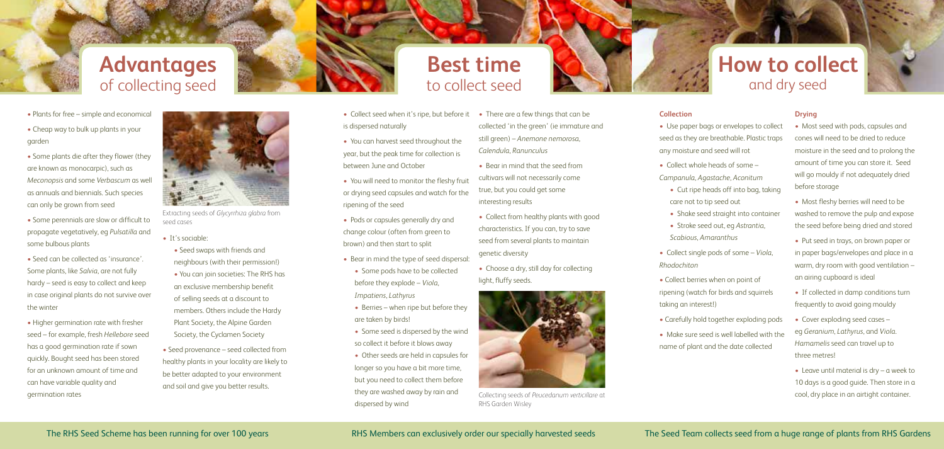# **Advantages** of collecting seed

# **Best time** to collect seed

# **How to collect** and dry seed



#### **Collection**

- 
- Collect whole heads of some *Campanula*, *Agastache*, *Aconitum*
- 
- 
- 
- Shake seed straight into container • Stroke seed out, eg *Astrantia*, *Scabious*, *Amaranthus*
- 
- 
- Collect berries when on point of ripening (watch for birds and squirrels taking an interest!)
- 
- 
- 
- 
- Use paper bags or envelopes to collect seed as they are breathable. Plastic traps any moisture and seed will rot
	- Cut ripe heads off into bag, taking care not to tip seed out
- Collect single pods of some *Viola*, *Rhodochiton*
- Carefully hold together exploding pods • Make sure seed is well labelled with the name of plant and the date collected

#### **Drying**

- Most seed with pods, capsules and cones will need to be dried to reduce moisture in the seed and to prolong the amount of time you can store it. Seed will go mouldy if not adequately dried before storage
- Most fleshy berries will need to be washed to remove the pulp and expose the seed before being dried and stored
- Put seed in trays, on brown paper or in paper bags/envelopes and place in a warm, dry room with good ventilation – an airing cupboard is ideal
- If collected in damp conditions turn frequently to avoid going mouldy
- Cover exploding seed cases eg *Geranium*, *Lathyrus*, and *Viola*. *Hamamelis* seed can travel up to three metres!
- Leave until material is dry a week to 10 days is a good guide. Then store in a cool, dry place in an airtight container.
- Collect seed when it's ripe, but before it is dispersed naturally
- You can harvest seed throughout the year, but the peak time for collection is between June and October
- You will need to monitor the fleshy fruit or drying seed capsules and watch for the ripening of the seed
- Pods or capsules generally dry and change colour (often from green to brown) and then start to split
- Bear in mind the type of seed dispersal:
	- Some pods have to be collected before they explode – *Viola*, *Impatiens*, *Lathyrus*
	- Berries when ripe but before they are taken by birds!
	- Some seed is dispersed by the wind so collect it before it blows away
	- Other seeds are held in capsules for longer so you have a bit more time, but you need to collect them before they are washed away by rain and dispersed by wind
- There are a few things that can be collected 'in the green' (ie immature and still green) – *Anemone nemorosa*, *Calendula*, *Ranunculus*
- Bear in mind that the seed from cultivars will not necessarily come true, but you could get some interesting results
- Collect from healthy plants with good characteristics. If you can, try to save seed from several plants to maintain genetic diversity
- Choose a dry, still day for collecting light, fluffy seeds.



Collecting seeds of *Peucedanum verticillare* at RHS Garden Wisley

- Plants for free simple and economical
- Cheap way to bulk up plants in your garden
- Some plants die after they flower (they are known as monocarpic), such as *Meconopsis* and some *Verbascum* as well as annuals and biennials. Such species can only be grown from seed
- Some perennials are slow or difficult to propagate vegetatively, eg *Pulsatilla* and some bulbous plants
- Seed can be collected as 'insurance'. Some plants, like *Salvia*, are not fully hardy – seed is easy to collect and keep in case original plants do not survive over the winter
- Higher germination rate with fresher seed – for example, fresh *Hellebore* seed has a good germination rate if sown quickly. Bought seed has been stored for an unknown amount of time and can have variable quality and germination rates
- It's sociable:
	- Seed swaps with friends and neighbours (with their permission!) • You can join societies: The RHS has an exclusive membership benefit of selling seeds at a discount to members. Others include the Hardy Plant Society, the Alpine Garden Society, the Cyclamen Society
- Seed provenance seed collected from healthy plants in your locality are likely to be better adapted to your environment and soil and give you better results.



Extracting seeds of *Glycyrrhiza glabra* from seed cases